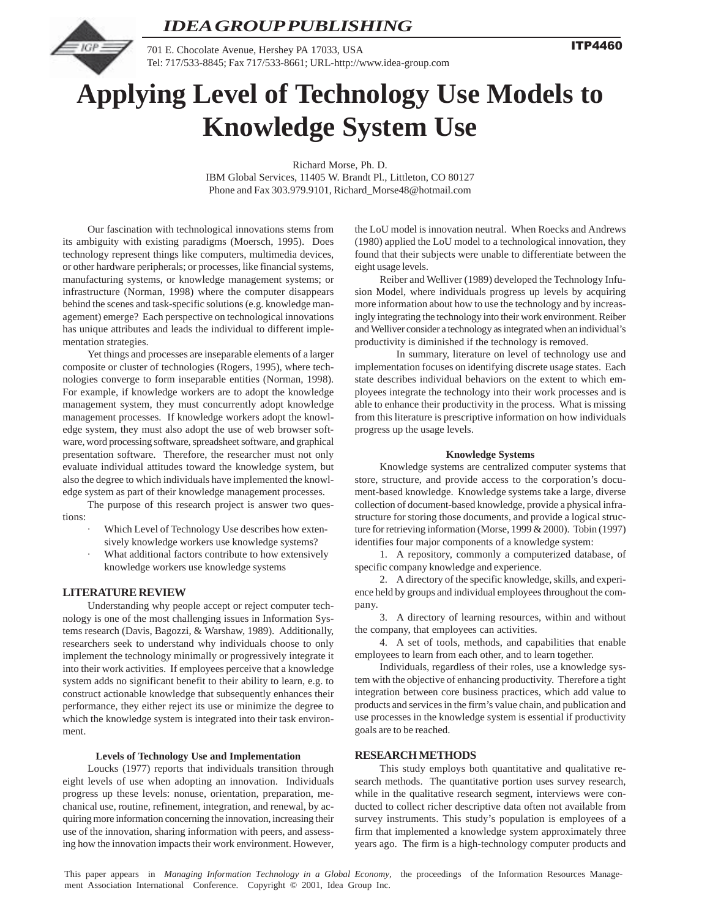

**ITP4460** 



701 E. Chocolate Avenue, Hershey PA 17033, USA Tel: 717/533-8845; Fax 717/533-8661; URL-http://www.idea-group.com

# **Applying Level of Technology Use Models to Knowledge System Use**

Richard Morse, Ph. D. IBM Global Services, 11405 W. Brandt Pl., Littleton, CO 80127 Phone and Fax 303.979.9101, Richard\_Morse48@hotmail.com

Our fascination with technological innovations stems from its ambiguity with existing paradigms (Moersch, 1995). Does technology represent things like computers, multimedia devices, or other hardware peripherals; or processes, like financial systems, manufacturing systems, or knowledge management systems; or infrastructure (Norman, 1998) where the computer disappears behind the scenes and task-specific solutions (e.g. knowledge management) emerge? Each perspective on technological innovations has unique attributes and leads the individual to different implementation strategies.

Yet things and processes are inseparable elements of a larger composite or cluster of technologies (Rogers, 1995), where technologies converge to form inseparable entities (Norman, 1998). For example, if knowledge workers are to adopt the knowledge management system, they must concurrently adopt knowledge management processes. If knowledge workers adopt the knowledge system, they must also adopt the use of web browser software, word processing software, spreadsheet software, and graphical presentation software. Therefore, the researcher must not only evaluate individual attitudes toward the knowledge system, but also the degree to which individuals have implemented the knowledge system as part of their knowledge management processes.

The purpose of this research project is answer two questions:

- Which Level of Technology Use describes how extensively knowledge workers use knowledge systems?
- What additional factors contribute to how extensively knowledge workers use knowledge systems

## **LITERATURE REVIEW**

Understanding why people accept or reject computer technology is one of the most challenging issues in Information Systems research (Davis, Bagozzi, & Warshaw, 1989). Additionally, researchers seek to understand why individuals choose to only implement the technology minimally or progressively integrate it into their work activities. If employees perceive that a knowledge system adds no significant benefit to their ability to learn, e.g. to construct actionable knowledge that subsequently enhances their performance, they either reject its use or minimize the degree to which the knowledge system is integrated into their task environment.

## **Levels of Technology Use and Implementation**

Loucks (1977) reports that individuals transition through eight levels of use when adopting an innovation. Individuals progress up these levels: nonuse, orientation, preparation, mechanical use, routine, refinement, integration, and renewal, by acquiring more information concerning the innovation, increasing their use of the innovation, sharing information with peers, and assessing how the innovation impacts their work environment. However,

the LoU model is innovation neutral. When Roecks and Andrews (1980) applied the LoU model to a technological innovation, they found that their subjects were unable to differentiate between the eight usage levels.

Reiber and Welliver (1989) developed the Technology Infusion Model, where individuals progress up levels by acquiring more information about how to use the technology and by increasingly integrating the technology into their work environment. Reiber and Welliver consider a technology as integrated when an individual's productivity is diminished if the technology is removed.

In summary, literature on level of technology use and implementation focuses on identifying discrete usage states. Each state describes individual behaviors on the extent to which employees integrate the technology into their work processes and is able to enhance their productivity in the process. What is missing from this literature is prescriptive information on how individuals progress up the usage levels.

## **Knowledge Systems**

Knowledge systems are centralized computer systems that store, structure, and provide access to the corporation's document-based knowledge. Knowledge systems take a large, diverse collection of document-based knowledge, provide a physical infrastructure for storing those documents, and provide a logical structure for retrieving information (Morse, 1999 & 2000). Tobin (1997) identifies four major components of a knowledge system:

1. A repository, commonly a computerized database, of specific company knowledge and experience.

2. A directory of the specific knowledge, skills, and experience held by groups and individual employees throughout the company.

3. A directory of learning resources, within and without the company, that employees can activities.

4. A set of tools, methods, and capabilities that enable employees to learn from each other, and to learn together.

Individuals, regardless of their roles, use a knowledge system with the objective of enhancing productivity. Therefore a tight integration between core business practices, which add value to products and services in the firm's value chain, and publication and use processes in the knowledge system is essential if productivity goals are to be reached.

## **RESEARCH METHODS**

This study employs both quantitative and qualitative research methods. The quantitative portion uses survey research, while in the qualitative research segment, interviews were conducted to collect richer descriptive data often not available from survey instruments. This study's population is employees of a firm that implemented a knowledge system approximately three years ago. The firm is a high-technology computer products and

This paper appears in *Managing Information Technology in a Global Economy,* the proceedings of the Information Resources Management Association International Conference. Copyright © 2001, Idea Group Inc.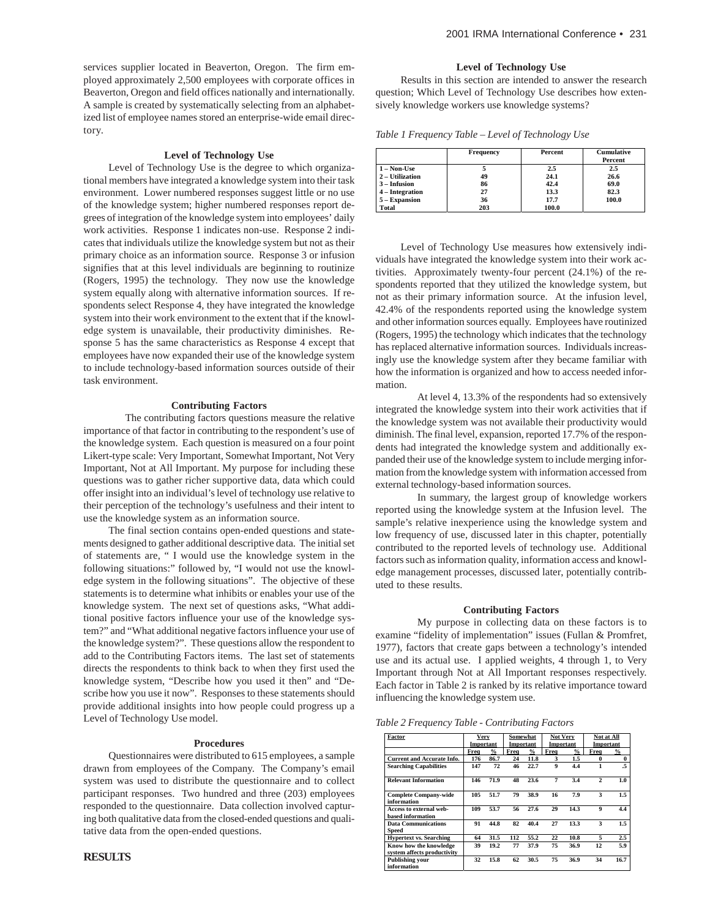services supplier located in Beaverton, Oregon. The firm employed approximately 2,500 employees with corporate offices in Beaverton, Oregon and field offices nationally and internationally. A sample is created by systematically selecting from an alphabetized list of employee names stored an enterprise-wide email directory.

## **Level of Technology Use**

Level of Technology Use is the degree to which organizational members have integrated a knowledge system into their task environment. Lower numbered responses suggest little or no use of the knowledge system; higher numbered responses report degrees of integration of the knowledge system into employees' daily work activities. Response 1 indicates non-use. Response 2 indicates that individuals utilize the knowledge system but not as their primary choice as an information source. Response 3 or infusion signifies that at this level individuals are beginning to routinize (Rogers, 1995) the technology. They now use the knowledge system equally along with alternative information sources. If respondents select Response 4, they have integrated the knowledge system into their work environment to the extent that if the knowledge system is unavailable, their productivity diminishes. Response 5 has the same characteristics as Response 4 except that employees have now expanded their use of the knowledge system to include technology-based information sources outside of their task environment.

## **Contributing Factors**

The contributing factors questions measure the relative importance of that factor in contributing to the respondent's use of the knowledge system. Each question is measured on a four point Likert-type scale: Very Important, Somewhat Important, Not Very Important, Not at All Important. My purpose for including these questions was to gather richer supportive data, data which could offer insight into an individual's level of technology use relative to their perception of the technology's usefulness and their intent to use the knowledge system as an information source.

The final section contains open-ended questions and statements designed to gather additional descriptive data. The initial set of statements are, " I would use the knowledge system in the following situations:" followed by, "I would not use the knowledge system in the following situations". The objective of these statements is to determine what inhibits or enables your use of the knowledge system. The next set of questions asks, "What additional positive factors influence your use of the knowledge system?" and "What additional negative factors influence your use of the knowledge system?". These questions allow the respondent to add to the Contributing Factors items. The last set of statements directs the respondents to think back to when they first used the knowledge system, "Describe how you used it then" and "Describe how you use it now". Responses to these statements should provide additional insights into how people could progress up a Level of Technology Use model.

#### **Procedures**

Questionnaires were distributed to 615 employees, a sample drawn from employees of the Company. The Company's email system was used to distribute the questionnaire and to collect participant responses. Two hundred and three (203) employees responded to the questionnaire. Data collection involved capturing both qualitative data from the closed-ended questions and qualitative data from the open-ended questions.

#### **Level of Technology Use**

Results in this section are intended to answer the research question; Which Level of Technology Use describes how extensively knowledge workers use knowledge systems?

*Table 1 Frequency Table – Level of Technology Use*

|                 | <b>Frequency</b> | <b>Percent</b> | <b>Cumulative</b><br>Percent |
|-----------------|------------------|----------------|------------------------------|
| 1 – Non-Use     |                  | 2.5            | 2.5                          |
| 2 - Utilization | 49               | 24.1           | 26.6                         |
| $3 - Infusion$  | 86               | 42.4           | 69.0                         |
| 4 – Integration | 27               | 13.3           | 82.3                         |
| 5 - Expansion   | 36               | 17.7           | 100.0                        |
| Total           | 203              | 100.0          |                              |

Level of Technology Use measures how extensively individuals have integrated the knowledge system into their work activities. Approximately twenty-four percent (24.1%) of the respondents reported that they utilized the knowledge system, but not as their primary information source. At the infusion level, 42.4% of the respondents reported using the knowledge system and other information sources equally. Employees have routinized (Rogers, 1995) the technology which indicates that the technology has replaced alternative information sources. Individuals increasingly use the knowledge system after they became familiar with how the information is organized and how to access needed information.

At level 4, 13.3% of the respondents had so extensively integrated the knowledge system into their work activities that if the knowledge system was not available their productivity would diminish. The final level, expansion, reported 17.7% of the respondents had integrated the knowledge system and additionally expanded their use of the knowledge system to include merging information from the knowledge system with information accessed from external technology-based information sources.

In summary, the largest group of knowledge workers reported using the knowledge system at the Infusion level. The sample's relative inexperience using the knowledge system and low frequency of use, discussed later in this chapter, potentially contributed to the reported levels of technology use. Additional factors such as information quality, information access and knowledge management processes, discussed later, potentially contributed to these results.

## **Contributing Factors**

My purpose in collecting data on these factors is to examine "fidelity of implementation" issues (Fullan & Promfret, 1977), factors that create gaps between a technology's intended use and its actual use. I applied weights, 4 through 1, to Very Important through Not at All Important responses respectively. Each factor in Table 2 is ranked by its relative importance toward influencing the knowledge system use.

*Table 2 Frequency Table - Contributing Factors*

| Factor                                                | Very<br>Important |               | Somewhat<br>Important |               | <b>Not Very</b><br>Important |                | <b>Not at All</b><br>Important |      |
|-------------------------------------------------------|-------------------|---------------|-----------------------|---------------|------------------------------|----------------|--------------------------------|------|
|                                                       | Freq              | $\frac{9}{6}$ | Freq                  | $\frac{6}{9}$ | Freq                         | $\frac{6}{10}$ | Freq                           | %    |
| Current and Accurate Info.                            | 176               | 86.7          | 24                    | 11.8          | 3                            | 1.5            | 0                              | 0    |
| <b>Searching Capabilities</b>                         | 147               | 72            | 46                    | 22.7          | $\mathbf Q$                  | 4.4            | 1                              | .5   |
| <b>Relevant Information</b>                           | 146               | 71.9          | 48                    | 23.6          | 7                            | 3.4            | $\mathbf{2}$                   | 1.0  |
| <b>Complete Company-wide</b><br>information           | 105               | 51.7          | 79                    | 38.9          | 16                           | 7.9            | 3                              | 1.5  |
| Access to external web-<br><b>hased information</b>   | 109               | 53.7          | 56                    | 27.6          | 29                           | 14.3           | $\mathbf Q$                    | 4.4  |
| <b>Data Communications</b><br>Speed                   | 91                | 44.8          | 82                    | 40.4          | 27                           | 13.3           | 3                              | 1.5  |
| <b>Hypertext vs. Searching</b>                        | 64                | 31.5          | 112                   | 55.2          | 22                           | 10.8           | 5                              | 2.5  |
| Know how the knowledge<br>system affects productivity | 39                | 19.2          | 77                    | 37.9          | 75                           | 36.9           | 12                             | 5.9  |
| <b>Publishing your</b><br>information                 | 32                | 15.8          | 62                    | 30.5          | 75                           | 36.9           | 34                             | 16.7 |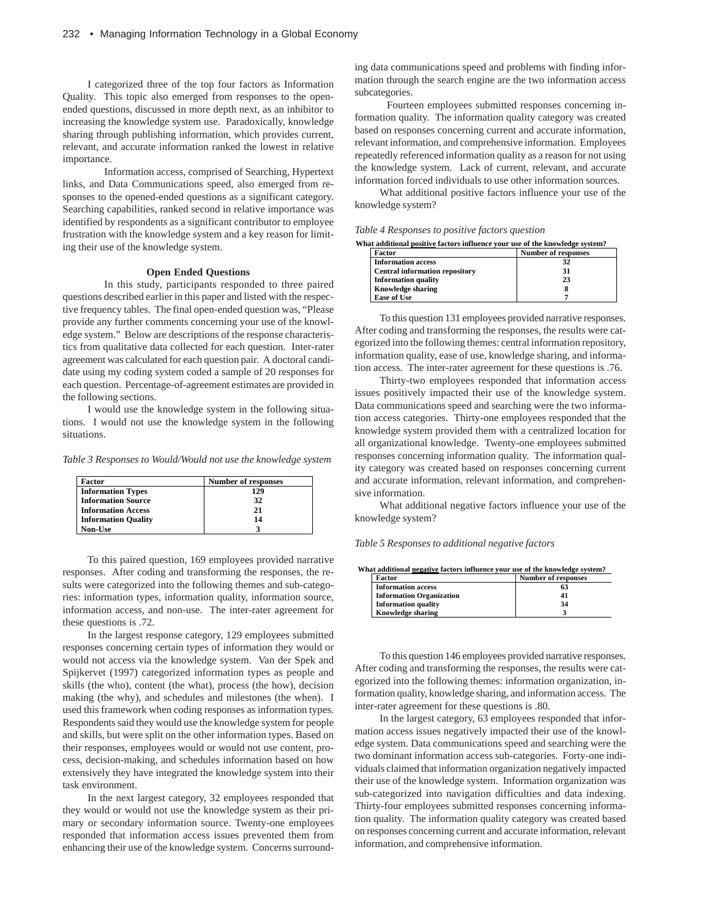I categorized three of the top four factors as Information Quality. This topic also emerged from responses to the openended questions, discussed in more depth next, as an inhibitor to increasing the knowledge system use. Paradoxically, knowledge sharing through publishing information, which provides current, relevant, and accurate information ranked the lowest in relative importance.

Information access, comprised of Searching, Hypertext links, and Data Communications speed, also emerged from responses to the opened-ended questions as a significant category. Searching capabilities, ranked second in relative importance was identified by respondents as a significant contributor to employee frustration with the knowledge system and a key reason for limiting their use of the knowledge system.

## **Open Ended Questions**

In this study, participants responded to three paired questions described earlier in this paper and listed with the respective frequency tables. The final open-ended question was, "Please provide any further comments concerning your use of the knowledge system." Below are descriptions of the response characteristics from qualitative data collected for each question. Inter-rater agreement was calculated for each question pair. A doctoral candidate using my coding system coded a sample of 20 responses for each question. Percentage-of-agreement estimates are provided in the following sections.

I would use the knowledge system in the following situations. I would not use the knowledge system in the following situations.

*Table 3 Responses to Would/Would not use the knowledge system*

| Factor                     | <b>Number of responses</b> |
|----------------------------|----------------------------|
| <b>Information Types</b>   | 129                        |
| <b>Information Source</b>  | 32                         |
| <b>Information Access</b>  | 21                         |
| <b>Information Quality</b> | 14                         |
| Non-Use                    |                            |

To this paired question, 169 employees provided narrative responses. After coding and transforming the responses, the results were categorized into the following themes and sub-categories: information types, information quality, information source, information access, and non-use. The inter-rater agreement for these questions is .72.

In the largest response category, 129 employees submitted responses concerning certain types of information they would or would not access via the knowledge system. Van der Spek and Spijkervet (1997) categorized information types as people and skills (the who), content (the what), process (the how), decision making (the why), and schedules and milestones (the when). I used this framework when coding responses as information types. Respondents said they would use the knowledge system for people and skills, but were split on the other information types. Based on their responses, employees would or would not use content, process, decision-making, and schedules information based on how extensively they have integrated the knowledge system into their task environment.

In the next largest category, 32 employees responded that they would or would not use the knowledge system as their primary or secondary information source. Twenty-one employees responded that information access issues prevented them from enhancing their use of the knowledge system. Concerns surrounding data communications speed and problems with finding information through the search engine are the two information access subcategories.

 Fourteen employees submitted responses concerning information quality. The information quality category was created based on responses concerning current and accurate information, relevant information, and comprehensive information. Employees repeatedly referenced information quality as a reason for not using the knowledge system. Lack of current, relevant, and accurate information forced individuals to use other information sources.

What additional positive factors influence your use of the knowledge system?

## *Table 4 Responses to positive factors question*

**What additional positive factors influence your use of the knowledge system?**

| Factor                                | <b>Number of responses</b> |
|---------------------------------------|----------------------------|
| <b>Information access</b>             | 32                         |
| <b>Central information repository</b> | 31                         |
| <b>Information quality</b>            | 23                         |
| <b>Knowledge sharing</b>              |                            |
| Ease of Use                           |                            |

To this question 131 employees provided narrative responses. After coding and transforming the responses, the results were categorized into the following themes: central information repository, information quality, ease of use, knowledge sharing, and information access. The inter-rater agreement for these questions is .76.

Thirty-two employees responded that information access issues positively impacted their use of the knowledge system. Data communications speed and searching were the two information access categories. Thirty-one employees responded that the knowledge system provided them with a centralized location for all organizational knowledge. Twenty-one employees submitted responses concerning information quality. The information quality category was created based on responses concerning current and accurate information, relevant information, and comprehensive information.

What additional negative factors influence your use of the knowledge system?

*Table 5 Responses to additional negative factors*

**What additional negative factors influence your use of the knowledge system?**

| Factor                          | <b>Number of responses</b> |
|---------------------------------|----------------------------|
| <b>Information access</b>       | 63                         |
| <b>Information Organization</b> | 41                         |
| <b>Information quality</b>      | 34                         |
| <b>Knowledge sharing</b>        |                            |

To this question 146 employees provided narrative responses. After coding and transforming the responses, the results were categorized into the following themes: information organization, information quality, knowledge sharing, and information access. The inter-rater agreement for these questions is .80.

In the largest category, 63 employees responded that information access issues negatively impacted their use of the knowledge system. Data communications speed and searching were the two dominant information access sub-categories. Forty-one individuals claimed that information organization negatively impacted their use of the knowledge system. Information organization was sub-categorized into navigation difficulties and data indexing. Thirty-four employees submitted responses concerning information quality. The information quality category was created based on responses concerning current and accurate information, relevant information, and comprehensive information.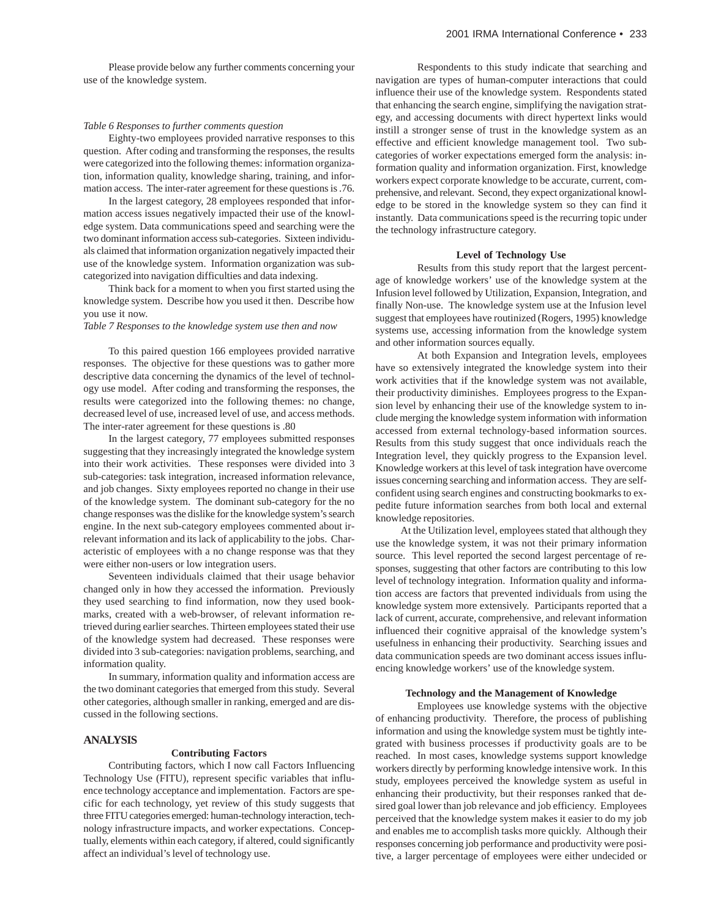Please provide below any further comments concerning your use of the knowledge system.

#### *Table 6 Responses to further comments question*

Eighty-two employees provided narrative responses to this question. After coding and transforming the responses, the results were categorized into the following themes: information organization, information quality, knowledge sharing, training, and information access. The inter-rater agreement for these questions is .76.

In the largest category, 28 employees responded that information access issues negatively impacted their use of the knowledge system. Data communications speed and searching were the two dominant information access sub-categories. Sixteen individuals claimed that information organization negatively impacted their use of the knowledge system. Information organization was subcategorized into navigation difficulties and data indexing.

Think back for a moment to when you first started using the knowledge system. Describe how you used it then. Describe how you use it now.

## *Table 7 Responses to the knowledge system use then and now*

To this paired question 166 employees provided narrative responses. The objective for these questions was to gather more descriptive data concerning the dynamics of the level of technology use model. After coding and transforming the responses, the results were categorized into the following themes: no change, decreased level of use, increased level of use, and access methods. The inter-rater agreement for these questions is .80

In the largest category, 77 employees submitted responses suggesting that they increasingly integrated the knowledge system into their work activities. These responses were divided into 3 sub-categories: task integration, increased information relevance, and job changes. Sixty employees reported no change in their use of the knowledge system. The dominant sub-category for the no change responses was the dislike for the knowledge system's search engine. In the next sub-category employees commented about irrelevant information and its lack of applicability to the jobs. Characteristic of employees with a no change response was that they were either non-users or low integration users.

Seventeen individuals claimed that their usage behavior changed only in how they accessed the information. Previously they used searching to find information, now they used bookmarks, created with a web-browser, of relevant information retrieved during earlier searches. Thirteen employees stated their use of the knowledge system had decreased. These responses were divided into 3 sub-categories: navigation problems, searching, and information quality.

In summary, information quality and information access are the two dominant categories that emerged from this study. Several other categories, although smaller in ranking, emerged and are discussed in the following sections.

## **ANALYSIS**

## **Contributing Factors**

Contributing factors, which I now call Factors Influencing Technology Use (FITU), represent specific variables that influence technology acceptance and implementation. Factors are specific for each technology, yet review of this study suggests that three FITU categories emerged: human-technology interaction, technology infrastructure impacts, and worker expectations. Conceptually, elements within each category, if altered, could significantly affect an individual's level of technology use.

Respondents to this study indicate that searching and navigation are types of human-computer interactions that could influence their use of the knowledge system. Respondents stated that enhancing the search engine, simplifying the navigation strategy, and accessing documents with direct hypertext links would instill a stronger sense of trust in the knowledge system as an effective and efficient knowledge management tool. Two subcategories of worker expectations emerged form the analysis: information quality and information organization. First, knowledge workers expect corporate knowledge to be accurate, current, comprehensive, and relevant. Second, they expect organizational knowledge to be stored in the knowledge system so they can find it instantly. Data communications speed is the recurring topic under the technology infrastructure category.

## **Level of Technology Use**

Results from this study report that the largest percentage of knowledge workers' use of the knowledge system at the Infusion level followed by Utilization, Expansion, Integration, and finally Non-use. The knowledge system use at the Infusion level suggest that employees have routinized (Rogers, 1995) knowledge systems use, accessing information from the knowledge system and other information sources equally.

At both Expansion and Integration levels, employees have so extensively integrated the knowledge system into their work activities that if the knowledge system was not available, their productivity diminishes. Employees progress to the Expansion level by enhancing their use of the knowledge system to include merging the knowledge system information with information accessed from external technology-based information sources. Results from this study suggest that once individuals reach the Integration level, they quickly progress to the Expansion level. Knowledge workers at this level of task integration have overcome issues concerning searching and information access. They are selfconfident using search engines and constructing bookmarks to expedite future information searches from both local and external knowledge repositories.

At the Utilization level, employees stated that although they use the knowledge system, it was not their primary information source. This level reported the second largest percentage of responses, suggesting that other factors are contributing to this low level of technology integration. Information quality and information access are factors that prevented individuals from using the knowledge system more extensively. Participants reported that a lack of current, accurate, comprehensive, and relevant information influenced their cognitive appraisal of the knowledge system's usefulness in enhancing their productivity. Searching issues and data communication speeds are two dominant access issues influencing knowledge workers' use of the knowledge system.

#### **Technology and the Management of Knowledge**

Employees use knowledge systems with the objective of enhancing productivity. Therefore, the process of publishing information and using the knowledge system must be tightly integrated with business processes if productivity goals are to be reached. In most cases, knowledge systems support knowledge workers directly by performing knowledge intensive work. In this study, employees perceived the knowledge system as useful in enhancing their productivity, but their responses ranked that desired goal lower than job relevance and job efficiency. Employees perceived that the knowledge system makes it easier to do my job and enables me to accomplish tasks more quickly. Although their responses concerning job performance and productivity were positive, a larger percentage of employees were either undecided or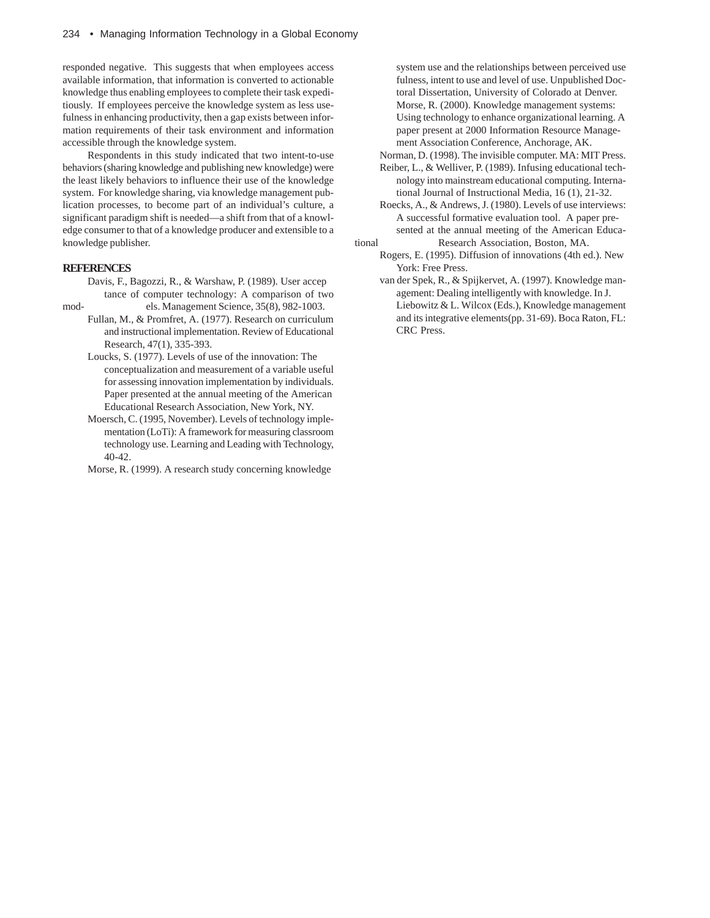responded negative. This suggests that when employees access available information, that information is converted to actionable knowledge thus enabling employees to complete their task expeditiously. If employees perceive the knowledge system as less usefulness in enhancing productivity, then a gap exists between information requirements of their task environment and information accessible through the knowledge system.

Respondents in this study indicated that two intent-to-use behaviors (sharing knowledge and publishing new knowledge) were the least likely behaviors to influence their use of the knowledge system. For knowledge sharing, via knowledge management publication processes, to become part of an individual's culture, a significant paradigm shift is needed—a shift from that of a knowledge consumer to that of a knowledge producer and extensible to a knowledge publisher.

## **REFERENCES**

- Davis, F., Bagozzi, R., & Warshaw, P. (1989). User accep tance of computer technology: A comparison of two mod-<br>els. Management Science, 35(8), 982-1003.
	- Fullan, M., & Promfret, A. (1977). Research on curriculum and instructional implementation. Review of Educational Research, 47(1), 335-393.
		- Loucks, S. (1977). Levels of use of the innovation: The conceptualization and measurement of a variable useful for assessing innovation implementation by individuals. Paper presented at the annual meeting of the American Educational Research Association, New York, NY.
		- Moersch, C. (1995, November). Levels of technology implementation (LoTi): A framework for measuring classroom technology use. Learning and Leading with Technology, 40-42.
		- Morse, R. (1999). A research study concerning knowledge

system use and the relationships between perceived use fulness, intent to use and level of use. Unpublished Doctoral Dissertation, University of Colorado at Denver. Morse, R. (2000). Knowledge management systems: Using technology to enhance organizational learning. A paper present at 2000 Information Resource Management Association Conference, Anchorage, AK.

Norman, D. (1998). The invisible computer. MA: MIT Press.

- Reiber, L., & Welliver, P. (1989). Infusing educational technology into mainstream educational computing. International Journal of Instructional Media, 16 (1), 21-32.
- Roecks, A., & Andrews, J. (1980). Levels of use interviews: A successful formative evaluation tool. A paper presented at the annual meeting of the American Educational Research Association, Boston, MA.
	- Rogers, E. (1995). Diffusion of innovations (4th ed.). New York: Free Press.
		- van der Spek, R., & Spijkervet, A. (1997). Knowledge management: Dealing intelligently with knowledge. In J. Liebowitz & L. Wilcox (Eds.), Knowledge management and its integrative elements(pp. 31-69). Boca Raton, FL: CRC Press.